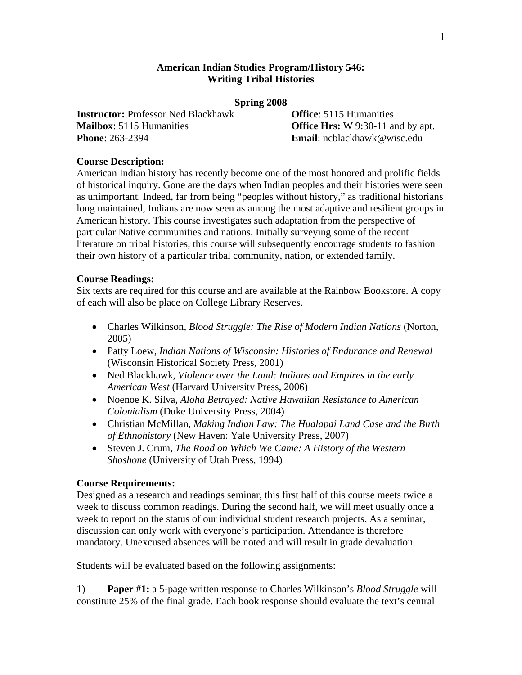### **American Indian Studies Program/History 546: Writing Tribal Histories**

#### **Spring 2008**

**Instructor:** Professor Ned Blackhawk **Office**: 5115 Humanities **Mailbox**: 5115 Humanities **Office Hrs:** W 9:30-11 and by apt. **Phone**: 263-2394 **Email**: ncblackhawk@wisc.edu

## **Course Description:**

American Indian history has recently become one of the most honored and prolific fields of historical inquiry. Gone are the days when Indian peoples and their histories were seen as unimportant. Indeed, far from being "peoples without history," as traditional historians long maintained, Indians are now seen as among the most adaptive and resilient groups in American history. This course investigates such adaptation from the perspective of particular Native communities and nations. Initially surveying some of the recent literature on tribal histories, this course will subsequently encourage students to fashion their own history of a particular tribal community, nation, or extended family.

### **Course Readings:**

Six texts are required for this course and are available at the Rainbow Bookstore. A copy of each will also be place on College Library Reserves.

- Charles Wilkinson, *Blood Struggle: The Rise of Modern Indian Nations* (Norton, 2005)
- Patty Loew, *Indian Nations of Wisconsin: Histories of Endurance and Renewal* (Wisconsin Historical Society Press, 2001)
- Ned Blackhawk, *Violence over the Land: Indians and Empires in the early American West* (Harvard University Press, 2006)
- Noenoe K. Silva, *Aloha Betrayed: Native Hawaiian Resistance to American Colonialism* (Duke University Press, 2004)
- Christian McMillan, *Making Indian Law: The Hualapai Land Case and the Birth of Ethnohistory* (New Haven: Yale University Press, 2007)
- Steven J. Crum, *The Road on Which We Came: A History of the Western Shoshone* (University of Utah Press, 1994)

### **Course Requirements:**

Designed as a research and readings seminar, this first half of this course meets twice a week to discuss common readings. During the second half, we will meet usually once a week to report on the status of our individual student research projects. As a seminar, discussion can only work with everyone's participation. Attendance is therefore mandatory. Unexcused absences will be noted and will result in grade devaluation.

Students will be evaluated based on the following assignments:

1) **Paper #1:** a 5-page written response to Charles Wilkinson's *Blood Struggle* will constitute 25% of the final grade. Each book response should evaluate the text's central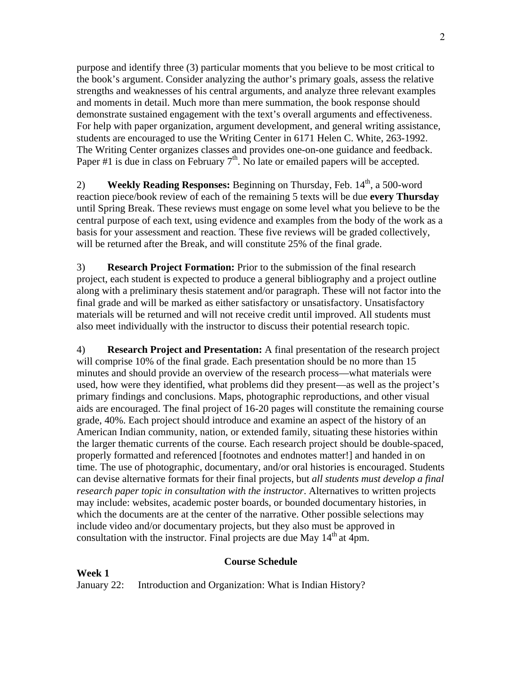purpose and identify three (3) particular moments that you believe to be most critical to the book's argument. Consider analyzing the author's primary goals, assess the relative strengths and weaknesses of his central arguments, and analyze three relevant examples and moments in detail. Much more than mere summation, the book response should demonstrate sustained engagement with the text's overall arguments and effectiveness. For help with paper organization, argument development, and general writing assistance, students are encouraged to use the Writing Center in 6171 Helen C. White, 263-1992. The Writing Center organizes classes and provides one-on-one guidance and feedback. Paper #1 is due in class on February  $7<sup>th</sup>$ . No late or emailed papers will be accepted.

2) **Weekly Reading Responses:** Beginning on Thursday, Feb. 14<sup>th</sup>, a 500-word reaction piece/book review of each of the remaining 5 texts will be due **every Thursday** until Spring Break. These reviews must engage on some level what you believe to be the central purpose of each text, using evidence and examples from the body of the work as a basis for your assessment and reaction. These five reviews will be graded collectively, will be returned after the Break, and will constitute 25% of the final grade.

3) **Research Project Formation:** Prior to the submission of the final research project, each student is expected to produce a general bibliography and a project outline along with a preliminary thesis statement and/or paragraph. These will not factor into the final grade and will be marked as either satisfactory or unsatisfactory. Unsatisfactory materials will be returned and will not receive credit until improved. All students must also meet individually with the instructor to discuss their potential research topic.

4) **Research Project and Presentation:** A final presentation of the research project will comprise 10% of the final grade. Each presentation should be no more than 15 minutes and should provide an overview of the research process—what materials were used, how were they identified, what problems did they present—as well as the project's primary findings and conclusions. Maps, photographic reproductions, and other visual aids are encouraged. The final project of 16-20 pages will constitute the remaining course grade, 40%. Each project should introduce and examine an aspect of the history of an American Indian community, nation, or extended family, situating these histories within the larger thematic currents of the course. Each research project should be double-spaced, properly formatted and referenced [footnotes and endnotes matter!] and handed in on time. The use of photographic, documentary, and/or oral histories is encouraged. Students can devise alternative formats for their final projects, but *all students must develop a final research paper topic in consultation with the instructor*. Alternatives to written projects may include: websites, academic poster boards, or bounded documentary histories, in which the documents are at the center of the narrative. Other possible selections may include video and/or documentary projects, but they also must be approved in consultation with the instructor. Final projects are due May  $14<sup>th</sup>$  at 4pm.

### **Course Schedule**

**Week 1** January 22: Introduction and Organization: What is Indian History?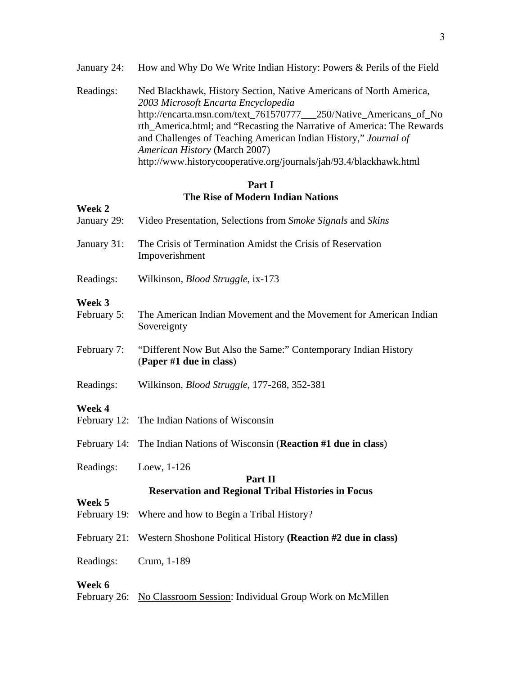- January 24: How and Why Do We Write Indian History: Powers & Perils of the Field
- Readings: Ned Blackhawk, History Section, Native Americans of North America, *2003 Microsoft Encarta Encyclopedia* http://encarta.msn.com/text\_761570777\_\_\_250/Native\_Americans\_of\_No rth\_America.html; and "Recasting the Narrative of America: The Rewards and Challenges of Teaching American Indian History," *Journal of American History* (March 2007) http://www.historycooperative.org/journals/jah/93.4/blackhawk.html

# **Part I The Rise of Modern Indian Nations**

| Week 2                 |                                                                                           |  |
|------------------------|-------------------------------------------------------------------------------------------|--|
| January 29:            | Video Presentation, Selections from Smoke Signals and Skins                               |  |
| January 31:            | The Crisis of Termination Amidst the Crisis of Reservation<br>Impoverishment              |  |
| Readings:              | Wilkinson, <i>Blood Struggle</i> , ix-173                                                 |  |
| Week 3<br>February 5:  | The American Indian Movement and the Movement for American Indian<br>Sovereignty          |  |
| February 7:            | "Different Now But Also the Same:" Contemporary Indian History<br>(Paper #1 due in class) |  |
| Readings:              | Wilkinson, <i>Blood Struggle</i> , 177-268, 352-381                                       |  |
| Week 4                 |                                                                                           |  |
|                        | February 12: The Indian Nations of Wisconsin                                              |  |
| February 14:           | The Indian Nations of Wisconsin (Reaction #1 due in class)                                |  |
| Readings:              | Loew, 1-126                                                                               |  |
| Part II                |                                                                                           |  |
| Week 5                 | <b>Reservation and Regional Tribal Histories in Focus</b>                                 |  |
|                        | February 19: Where and how to Begin a Tribal History?                                     |  |
|                        | February 21: Western Shoshone Political History (Reaction #2 due in class)                |  |
| Readings:              | Crum, 1-189                                                                               |  |
| Week 6<br>February 26: | No Classroom Session: Individual Group Work on McMillen                                   |  |